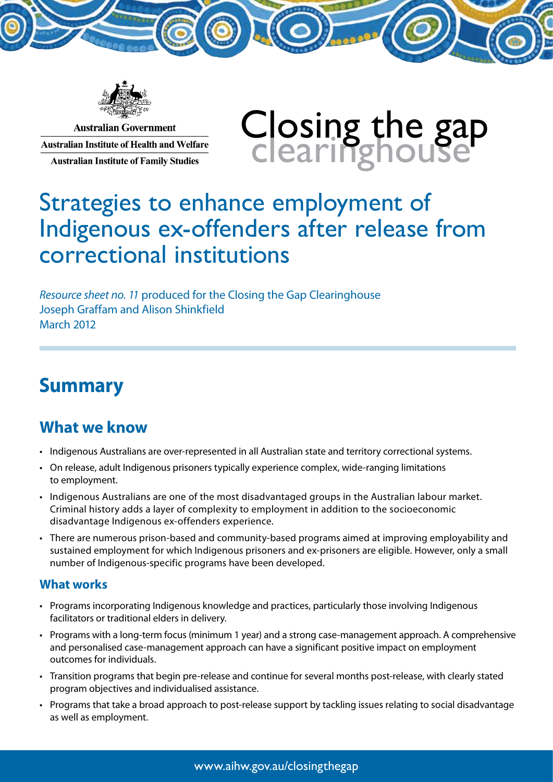

**Australian Government Australian Institute of Health and Welfare Australian Institute of Family Studies** 

# Closing the gap<br>Clearinghouse

# Strategies to enhance employment of Indigenous ex-offenders after release from correctional institutions

*Resource sheet no. 11* produced for the Closing the Gap Clearinghouse Joseph Graffam and Alison Shinkfield March 2012

# **Summary**

## **What we know**

- Indigenous Australians are over-represented in all Australian state and territory correctional systems.
- • On release, adult Indigenous prisoners typically experience complex, wide-ranging limitations to employment.
- • Indigenous Australians are one of the most disadvantaged groups in the Australian labour market. Criminal history adds a layer of complexity to employment in addition to the socioeconomic disadvantage Indigenous ex-offenders experience.
- There are numerous prison-based and community-based programs aimed at improving employability and sustained employment for which Indigenous prisoners and ex-prisoners are eligible. However, only a small number of Indigenous-specific programs have been developed.

#### **What works**

- Programs incorporating Indigenous knowledge and practices, particularly those involving Indigenous facilitators or traditional elders in delivery.
- Programs with a long-term focus (minimum 1 year) and a strong case-management approach. A comprehensive and personalised case-management approach can have a significant positive impact on employment outcomes for individuals.
- Transition programs that begin pre-release and continue for several months post-release, with clearly stated program objectives and individualised assistance.
- • Programs that take a broad approach to post-release support by tackling issues relating to social disadvantage as well as employment.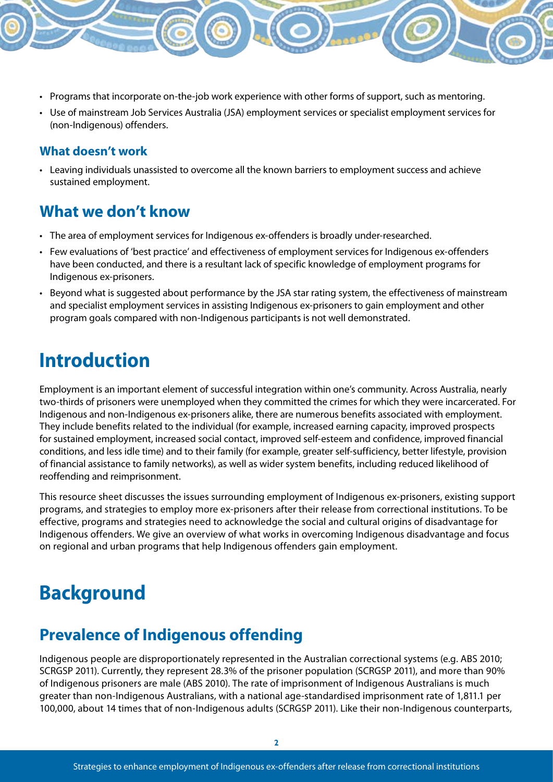- • Programs that incorporate on-the-job work experience with other forms of support, such as mentoring.
- • Use of mainstream Job Services Australia (JSA) employment services or specialist employment services for (non-Indigenous) offenders.

#### **What doesn't work**

• Leaving individuals unassisted to overcome all the known barriers to employment success and achieve sustained employment.

## **What we don't know**

- The area of employment services for Indigenous ex-offenders is broadly under-researched.
- • Few evaluations of 'best practice' and effectiveness of employment services for Indigenous ex-offenders have been conducted, and there is a resultant lack of specific knowledge of employment programs for Indigenous ex-prisoners.
- • Beyond what is suggested about performance by the JSA star rating system, the effectiveness of mainstream and specialist employment services in assisting Indigenous ex-prisoners to gain employment and other program goals compared with non-Indigenous participants is not well demonstrated.

# **Introduction**

Employment is an important element of successful integration within one's community. Across Australia, nearly two-thirds of prisoners were unemployed when they committed the crimes for which they were incarcerated. For Indigenous and non-Indigenous ex-prisoners alike, there are numerous benefits associated with employment. They include benefits related to the individual (for example, increased earning capacity, improved prospects for sustained employment, increased social contact, improved self-esteem and confidence, improved financial conditions, and less idle time) and to their family (for example, greater self-sufficiency, better lifestyle, provision of financial assistance to family networks), as well as wider system benefits, including reduced likelihood of reoffending and reimprisonment.

This resource sheet discusses the issues surrounding employment of Indigenous ex-prisoners, existing support programs, and strategies to employ more ex-prisoners after their release from correctional institutions. To be effective, programs and strategies need to acknowledge the social and cultural origins of disadvantage for Indigenous offenders. We give an overview of what works in overcoming Indigenous disadvantage and focus on regional and urban programs that help Indigenous offenders gain employment.

# **Background**

## **Prevalence of Indigenous offending**

Indigenous people are disproportionately represented in the Australian correctional systems (e.g. ABS 2010; SCRGSP 2011). Currently, they represent 28.3% of the prisoner population (SCRGSP 2011), and more than 90% of Indigenous prisoners are male (ABS 2010). The rate of imprisonment of Indigenous Australians is much greater than non-Indigenous Australians, with a national age-standardised imprisonment rate of 1,811.1 per 100,000, about 14 times that of non-Indigenous adults (SCRGSP 2011). Like their non-Indigenous counterparts,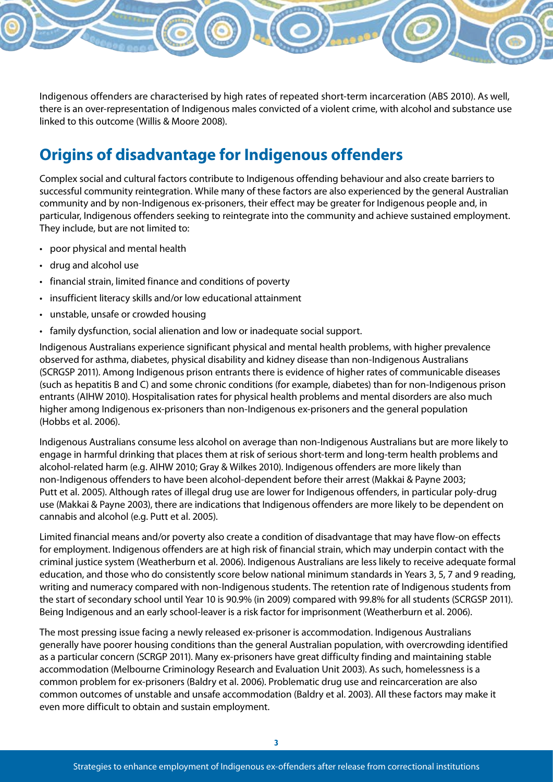Indigenous offenders are characterised by high rates of repeated short-term incarceration (ABS 2010). As well, there is an over-representation of Indigenous males convicted of a violent crime, with alcohol and substance use linked to this outcome (Willis & Moore 2008).

## **Origins of disadvantage for Indigenous offenders**

Complex social and cultural factors contribute to Indigenous offending behaviour and also create barriers to successful community reintegration. While many of these factors are also experienced by the general Australian community and by non-Indigenous ex-prisoners, their effect may be greater for Indigenous people and, in particular, Indigenous offenders seeking to reintegrate into the community and achieve sustained employment. They include, but are not limited to:

- • poor physical and mental health
- • drug and alcohol use
- • financial strain, limited finance and conditions of poverty
- insufficient literacy skills and/or low educational attainment
- • unstable, unsafe or crowded housing
- family dysfunction, social alienation and low or inadequate social support.

Indigenous Australians experience significant physical and mental health problems, with higher prevalence observed for asthma, diabetes, physical disability and kidney disease than non-Indigenous Australians (SCRGSP 2011). Among Indigenous prison entrants there is evidence of higher rates of communicable diseases (such as hepatitis B and C) and some chronic conditions (for example, diabetes) than for non-Indigenous prison entrants (AIHW 2010). Hospitalisation rates for physical health problems and mental disorders are also much higher among Indigenous ex-prisoners than non-Indigenous ex-prisoners and the general population (Hobbs et al. 2006).

Indigenous Australians consume less alcohol on average than non-Indigenous Australians but are more likely to engage in harmful drinking that places them at risk of serious short-term and long-term health problems and alcohol-related harm (e.g. AIHW 2010; Gray & Wilkes 2010). Indigenous offenders are more likely than non-Indigenous offenders to have been alcohol-dependent before their arrest (Makkai & Payne 2003; Putt et al. 2005). Although rates of illegal drug use are lower for Indigenous offenders, in particular poly-drug use (Makkai & Payne 2003), there are indications that Indigenous offenders are more likely to be dependent on cannabis and alcohol (e.g. Putt et al. 2005).

Limited financial means and/or poverty also create a condition of disadvantage that may have flow-on effects for employment. Indigenous offenders are at high risk of financial strain, which may underpin contact with the criminal justice system (Weatherburn et al. 2006). Indigenous Australians are less likely to receive adequate formal education, and those who do consistently score below national minimum standards in Years 3, 5, 7 and 9 reading, writing and numeracy compared with non-Indigenous students. The retention rate of Indigenous students from the start of secondary school until Year 10 is 90.9% (in 2009) compared with 99.8% for all students (SCRGSP 2011). Being Indigenous and an early school-leaver is a risk factor for imprisonment (Weatherburn et al. 2006).

The most pressing issue facing a newly released ex-prisoner is accommodation. Indigenous Australians generally have poorer housing conditions than the general Australian population, with overcrowding identified as a particular concern (SCRGP 2011). Many ex-prisoners have great difficulty finding and maintaining stable accommodation (Melbourne Criminology Research and Evaluation Unit 2003). As such, homelessness is a common problem for ex-prisoners (Baldry et al. 2006). Problematic drug use and reincarceration are also common outcomes of unstable and unsafe accommodation (Baldry et al. 2003). All these factors may make it even more difficult to obtain and sustain employment.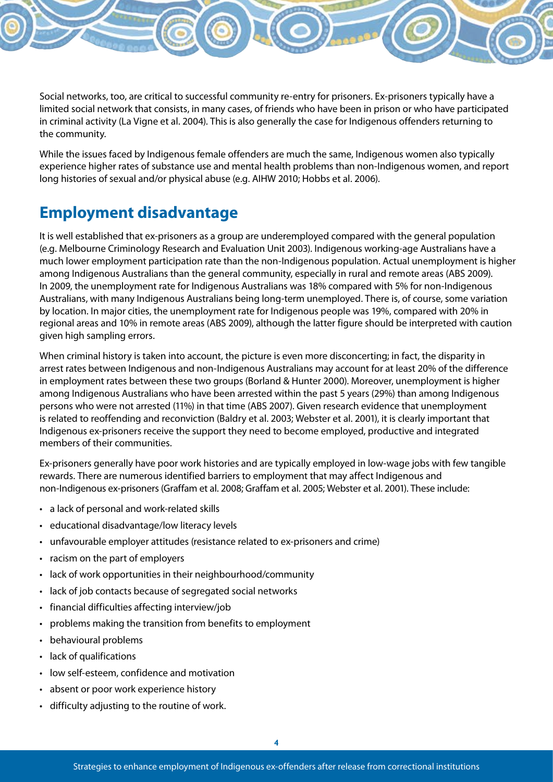Social networks, too, are critical to successful community re-entry for prisoners. Ex-prisoners typically have a limited social network that consists, in many cases, of friends who have been in prison or who have participated in criminal activity (La Vigne et al. 2004). This is also generally the case for Indigenous offenders returning to the community.

While the issues faced by Indigenous female offenders are much the same, Indigenous women also typically experience higher rates of substance use and mental health problems than non-Indigenous women, and report long histories of sexual and/or physical abuse (e.g. AIHW 2010; Hobbs et al. 2006).

## **Employment disadvantage**

It is well established that ex-prisoners as a group are underemployed compared with the general population (e.g. Melbourne Criminology Research and Evaluation Unit 2003). Indigenous working-age Australians have a much lower employment participation rate than the non-Indigenous population. Actual unemployment is higher among Indigenous Australians than the general community, especially in rural and remote areas (ABS 2009). In 2009, the unemployment rate for Indigenous Australians was 18% compared with 5% for non-Indigenous Australians, with many Indigenous Australians being long-term unemployed. There is, of course, some variation by location. In major cities, the unemployment rate for Indigenous people was 19%, compared with 20% in regional areas and 10% in remote areas (ABS 2009), although the latter figure should be interpreted with caution given high sampling errors.

When criminal history is taken into account, the picture is even more disconcerting; in fact, the disparity in arrest rates between Indigenous and non-Indigenous Australians may account for at least 20% of the difference in employment rates between these two groups (Borland & Hunter 2000). Moreover, unemployment is higher among Indigenous Australians who have been arrested within the past 5 years (29%) than among Indigenous persons who were not arrested (11%) in that time (ABS 2007). Given research evidence that unemployment is related to reoffending and reconviction (Baldry et al. 2003; Webster et al. 2001), it is clearly important that Indigenous ex-prisoners receive the support they need to become employed, productive and integrated members of their communities.

Ex-prisoners generally have poor work histories and are typically employed in low-wage jobs with few tangible rewards. There are numerous identified barriers to employment that may affect Indigenous and non-Indigenous ex-prisoners (Graffam et al. 2008; Graffam et al. 2005; Webster et al. 2001). These include:

- • a lack of personal and work-related skills
- • educational disadvantage/low literacy levels
- unfavourable employer attitudes (resistance related to ex-prisoners and crime)
- racism on the part of employers
- lack of work opportunities in their neighbourhood/community
- lack of job contacts because of segregated social networks
- • financial difficulties affecting interview/job
- problems making the transition from benefits to employment
- • behavioural problems
- lack of qualifications
- • low self-esteem, confidence and motivation
- absent or poor work experience history
- • difficulty adjusting to the routine of work.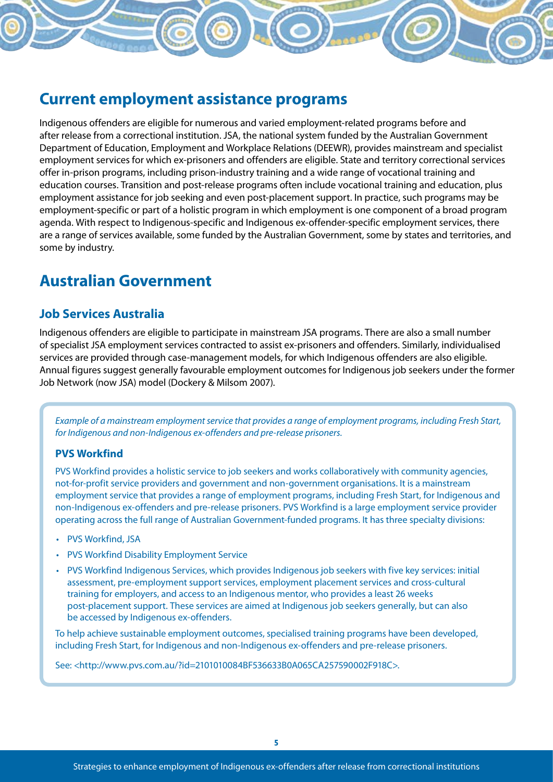## **Current employment assistance programs**

Indigenous offenders are eligible for numerous and varied employment-related programs before and after release from a correctional institution. JSA, the national system funded by the Australian Government Department of Education, Employment and Workplace Relations (DEEWR), provides mainstream and specialist employment services for which ex-prisoners and offenders are eligible. State and territory correctional services offer in-prison programs, including prison-industry training and a wide range of vocational training and education courses. Transition and post-release programs often include vocational training and education, plus employment assistance for job seeking and even post-placement support. In practice, such programs may be employment-specific or part of a holistic program in which employment is one component of a broad program agenda. With respect to Indigenous-specific and Indigenous ex-offender-specific employment services, there are a range of services available, some funded by the Australian Government, some by states and territories, and some by industry.

## **Australian Government**

#### **Job Services Australia**

Indigenous offenders are eligible to participate in mainstream JSA programs. There are also a small number of specialist JSA employment services contracted to assist ex-prisoners and offenders. Similarly, individualised services are provided through case-management models, for which Indigenous offenders are also eligible. Annual figures suggest generally favourable employment outcomes for Indigenous job seekers under the former Job Network (now JSA) model (Dockery & Milsom 2007).

*Example of a mainstream employment service that provides a range of employment programs, including Fresh Start, for Indigenous and non-Indigenous ex-offenders and pre-release prisoners.*

#### **PVS Workfind**

PVS Workfind provides a holistic service to job seekers and works collaboratively with community agencies, not-for-profit service providers and government and non-government organisations. It is a mainstream employment service that provides a range of employment programs, including Fresh Start, for Indigenous and non-Indigenous ex-offenders and pre-release prisoners. PVS Workfind is a large employment service provider operating across the full range of Australian Government-funded programs. It has three specialty divisions:

- • PVS Workfind, JSA
- • PVS Workfind Disability Employment Service
- • PVS Workfind Indigenous Services, which provides Indigenous job seekers with five key services: initial assessment, pre-employment support services, employment placement services and cross-cultural training for employers, and access to an Indigenous mentor, who provides a least 26 weeks post-placement support. These services are aimed at Indigenous job seekers generally, but can also be accessed by Indigenous ex-offenders.

To help achieve sustainable employment outcomes, specialised training programs have been developed, including Fresh Start, for Indigenous and non-Indigenous ex-offenders and pre-release prisoners.

See: <http://www.pvs.com.au/?id=2101010084BF536633B0A065CA257590002F918C>.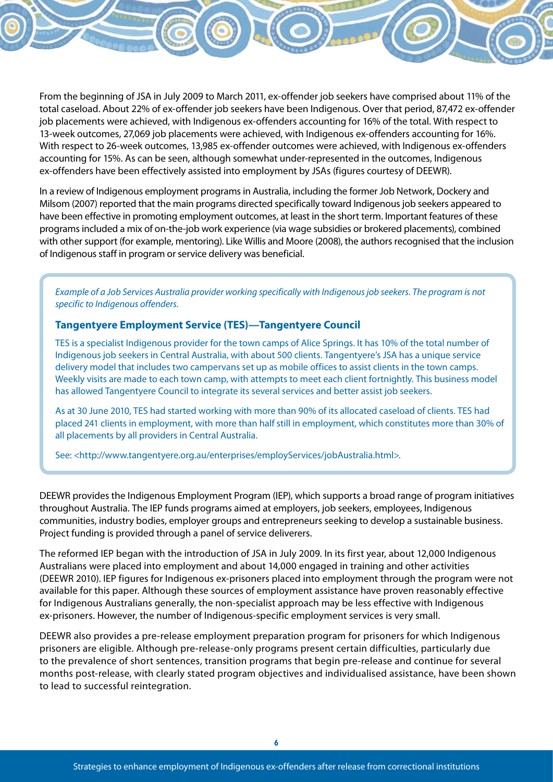From the beginning of JSA in July 2009 to March 2011, ex-offender job seekers have comprised about 11% of the total caseload. About 22% of ex-offender job seekers have been Indigenous. Over that period, 87,472 ex-offender job placements were achieved, with Indigenous ex-offenders accounting for 16% of the total. With respect to 13-week outcomes, 27,069 job placements were achieved, with Indigenous ex-offenders accounting for 16%. With respect to 26-week outcomes, 13,985 ex-offender outcomes were achieved, with Indigenous ex-offenders accounting for 15%. As can be seen, although somewhat under-represented in the outcomes, Indigenous ex-offenders have been effectively assisted into employment by JSAs (figures courtesy of DEEWR).

In a review of Indigenous employment programs in Australia, including the former Job Network, Dockery and Milsom (2007) reported that the main programs directed specifically toward Indigenous job seekers appeared to have been effective in promoting employment outcomes, at least in the short term. Important features of these programs included a mix of on-the-job work experience (via wage subsidies or brokered placements), combined with other support (for example, mentoring). Like Willis and Moore (2008), the authors recognised that the inclusion of Indigenous staff in program or service delivery was beneficial.

*Example of a Job Services Australia provider working specifically with Indigenous job seekers. The program is not specific to Indigenous offenders.*

#### **Tangentyere Employment Service (TES)—Tangentyere Council**

TES is a specialist Indigenous provider for the town camps of Alice Springs. It has 10% of the total number of Indigenous job seekers in Central Australia, with about 500 clients. Tangentyere's JSA has a unique service delivery model that includes two campervans set up as mobile offices to assist clients in the town camps. Weekly visits are made to each town camp, with attempts to meet each client fortnightly. This business model has allowed Tangentyere Council to integrate its several services and better assist job seekers.

As at 30 June 2010, TES had started working with more than 90% of its allocated caseload of clients. TES had placed 241 clients in employment, with more than half still in employment, which constitutes more than 30% of all placements by all providers in Central Australia.

See: <http://www.tangentyere.org.au/enterprises/employServices/jobAustralia.html>.

DEEWR provides the Indigenous Employment Program (IEP), which supports a broad range of program initiatives throughout Australia. The IEP funds programs aimed at employers, job seekers, employees, Indigenous communities, industry bodies, employer groups and entrepreneurs seeking to develop a sustainable business. Project funding is provided through a panel of service deliverers.

The reformed IEP began with the introduction of JSA in July 2009. In its first year, about 12,000 Indigenous Australians were placed into employment and about 14,000 engaged in training and other activities (DEEWR 2010). IEP figures for Indigenous ex-prisoners placed into employment through the program were not available for this paper. Although these sources of employment assistance have proven reasonably effective for Indigenous Australians generally, the non-specialist approach may be less effective with Indigenous ex-prisoners. However, the number of Indigenous-specific employment services is very small.

DEEWR also provides a pre-release employment preparation program for prisoners for which Indigenous prisoners are eligible. Although pre-release-only programs present certain difficulties, particularly due to the prevalence of short sentences, transition programs that begin pre-release and continue for several months post-release, with clearly stated program objectives and individualised assistance, have been shown to lead to successful reintegration.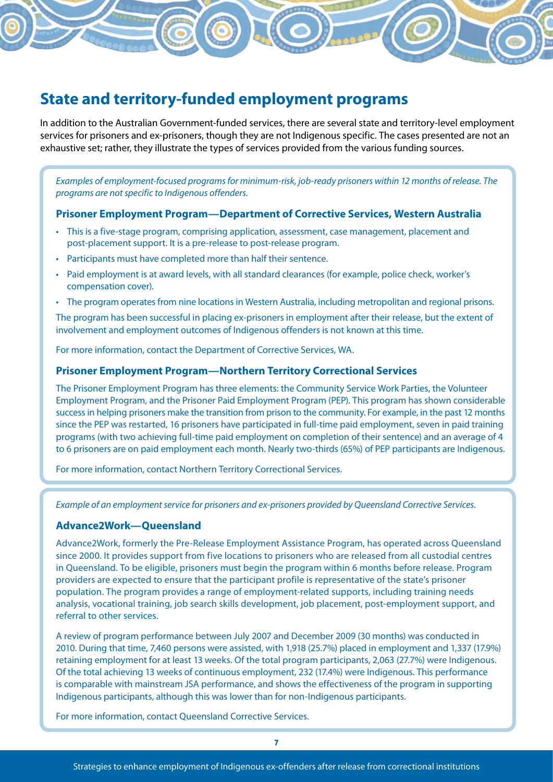## **State and territory-funded employment programs**

In addition to the Australian Government-funded services, there are several state and territory-level employment services for prisoners and ex-prisoners, though they are not Indigenous specific. The cases presented are not an exhaustive set; rather, they illustrate the types of services provided from the various funding sources.

*Examples of employment-focused programs for minimum-risk, job-ready prisoners within 12 months of release. The programs are not specific to Indigenous offenders.*

#### **Prisoner Employment Program—Department of Corrective Services, Western Australia**

- • This is a five-stage program, comprising application, assessment, case management, placement and post-placement support. It is a pre-release to post-release program.
- Participants must have completed more than half their sentence.
- Paid employment is at award levels, with all standard clearances (for example, police check, worker's compensation cover).
- • The program operates from nine locations in Western Australia, including metropolitan and regional prisons.

The program has been successful in placing ex-prisoners in employment after their release, but the extent of involvement and employment outcomes of Indigenous offenders is not known at this time.

For more information, contact the Department of Corrective Services, WA.

#### **Prisoner Employment Program—Northern Territory Correctional Services**

The Prisoner Employment Program has three elements: the Community Service Work Parties, the Volunteer Employment Program, and the Prisoner Paid Employment Program (PEP). This program has shown considerable success in helping prisoners make the transition from prison to the community. For example, in the past 12 months since the PEP was restarted, 16 prisoners have participated in full-time paid employment, seven in paid training programs (with two achieving full-time paid employment on completion of their sentence) and an average of 4 to 6 prisoners are on paid employment each month. Nearly two-thirds (65%) of PEP participants are Indigenous.

For more information, contact Northern Territory Correctional Services.

*Example of an employment service for prisoners and ex-prisoners provided by Queensland Corrective Services.*

#### **Advance2Work—Queensland**

Advance2Work, formerly the Pre-Release Employment Assistance Program, has operated across Queensland since 2000. It provides support from five locations to prisoners who are released from all custodial centres in Queensland. To be eligible, prisoners must begin the program within 6 months before release. Program providers are expected to ensure that the participant profile is representative of the state's prisoner population. The program provides a range of employment-related supports, including training needs analysis, vocational training, job search skills development, job placement, post-employment support, and referral to other services.

A review of program performance between July 2007 and December 2009 (30 months) was conducted in 2010. During that time, 7,460 persons were assisted, with 1,918 (25.7%) placed in employment and 1,337 (17.9%) retaining employment for at least 13 weeks. Of the total program participants, 2,063 (27.7%) were Indigenous. Of the total achieving 13 weeks of continuous employment, 232 (17.4%) were Indigenous. This performance is comparable with mainstream JSA performance, and shows the effectiveness of the program in supporting Indigenous participants, although this was lower than for non-Indigenous participants.

For more information, contact Queensland Corrective Services.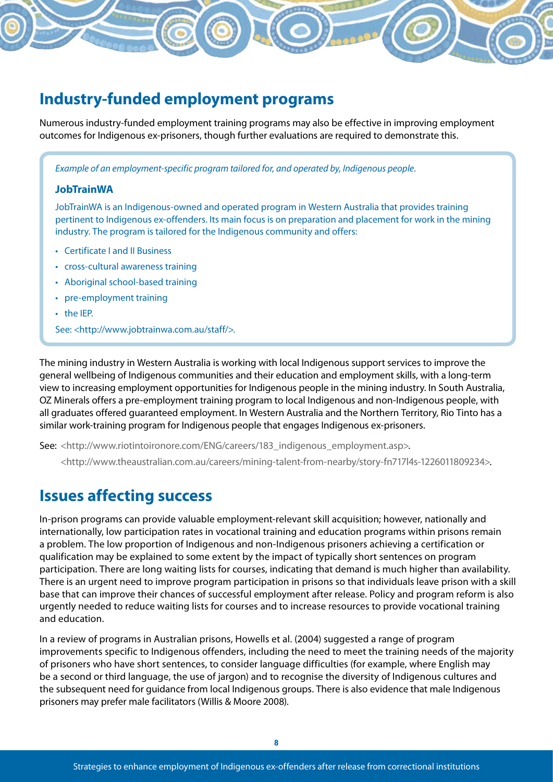## **Industry-funded employment programs**

Numerous industry-funded employment training programs may also be effective in improving employment outcomes for Indigenous ex-prisoners, though further evaluations are required to demonstrate this.

*Example of an employment-specific program tailored for, and operated by, Indigenous people*.

#### **JobTrainWA**

JobTrainWA is an Indigenous-owned and operated program in Western Australia that provides training pertinent to Indigenous ex-offenders. Its main focus is on preparation and placement for work in the mining industry. The program is tailored for the Indigenous community and offers:

- • Certificate I and II Business
- • cross-cultural awareness training
- Aboriginal school-based training
- pre-employment training
- • the IEP.

See: <http://www.jobtrainwa.com.au/staff/>.

The mining industry in Western Australia is working with local Indigenous support services to improve the general wellbeing of Indigenous communities and their education and employment skills, with a long-term view to increasing employment opportunities for Indigenous people in the mining industry. In South Australia, OZ Minerals offers a pre-employment training program to local Indigenous and non-Indigenous people, with all graduates offered guaranteed employment. In Western Australia and the Northern Territory, Rio Tinto has a similar work-training program for Indigenous people that engages Indigenous ex-prisoners.

See: <http://www.riotintoironore.com/ENG/careers/183\_indigenous\_employment.asp>.

<http://www.theaustralian.com.au/careers/mining-talent-from-nearby/story-fn717l4s-1226011809234>.

### **Issues affecting success**

In-prison programs can provide valuable employment-relevant skill acquisition; however, nationally and internationally, low participation rates in vocational training and education programs within prisons remain a problem. The low proportion of Indigenous and non-Indigenous prisoners achieving a certification or qualification may be explained to some extent by the impact of typically short sentences on program participation. There are long waiting lists for courses, indicating that demand is much higher than availability. There is an urgent need to improve program participation in prisons so that individuals leave prison with a skill base that can improve their chances of successful employment after release. Policy and program reform is also urgently needed to reduce waiting lists for courses and to increase resources to provide vocational training and education.

In a review of programs in Australian prisons, Howells et al. (2004) suggested a range of program improvements specific to Indigenous offenders, including the need to meet the training needs of the majority of prisoners who have short sentences, to consider language difficulties (for example, where English may be a second or third language, the use of jargon) and to recognise the diversity of Indigenous cultures and the subsequent need for guidance from local Indigenous groups. There is also evidence that male Indigenous prisoners may prefer male facilitators (Willis & Moore 2008).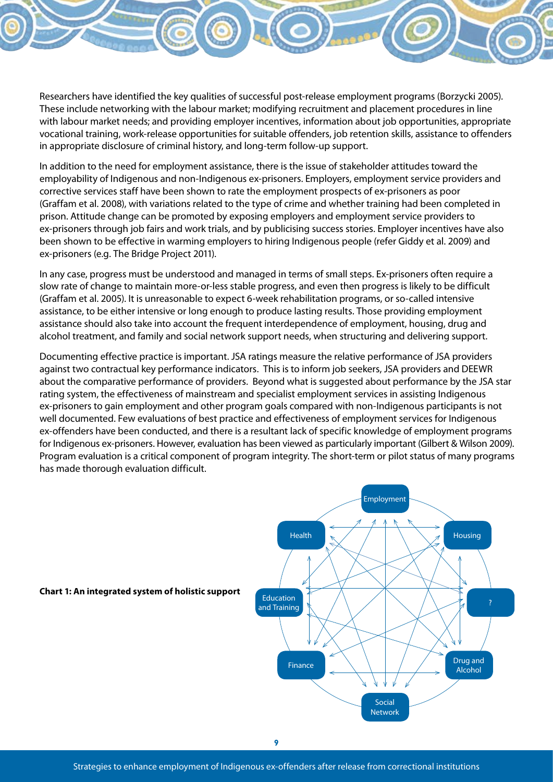Researchers have identified the key qualities of successful post-release employment programs (Borzycki 2005). These include networking with the labour market; modifying recruitment and placement procedures in line with labour market needs; and providing employer incentives, information about job opportunities, appropriate vocational training, work-release opportunities for suitable offenders, job retention skills, assistance to offenders in appropriate disclosure of criminal history, and long-term follow-up support.

In addition to the need for employment assistance, there is the issue of stakeholder attitudes toward the employability of Indigenous and non-Indigenous ex-prisoners. Employers, employment service providers and corrective services staff have been shown to rate the employment prospects of ex-prisoners as poor (Graffam et al. 2008), with variations related to the type of crime and whether training had been completed in prison. Attitude change can be promoted by exposing employers and employment service providers to ex-prisoners through job fairs and work trials, and by publicising success stories. Employer incentives have also been shown to be effective in warming employers to hiring Indigenous people (refer Giddy et al. 2009) and ex-prisoners (e.g. The Bridge Project 2011).

In any case, progress must be understood and managed in terms of small steps. Ex-prisoners often require a slow rate of change to maintain more-or-less stable progress, and even then progress is likely to be difficult (Graffam et al. 2005). It is unreasonable to expect 6-week rehabilitation programs, or so-called intensive assistance, to be either intensive or long enough to produce lasting results. Those providing employment assistance should also take into account the frequent interdependence of employment, housing, drug and alcohol treatment, and family and social network support needs, when structuring and delivering support.

Documenting effective practice is important. JSA ratings measure the relative performance of JSA providers against two contractual key performance indicators. This is to inform job seekers, JSA providers and DEEWR about the comparative performance of providers. Beyond what is suggested about performance by the JSA star rating system, the effectiveness of mainstream and specialist employment services in assisting Indigenous ex-prisoners to gain employment and other program goals compared with non-Indigenous participants is not well documented. Few evaluations of best practice and effectiveness of employment services for Indigenous ex-offenders have been conducted, and there is a resultant lack of specific knowledge of employment programs for Indigenous ex-prisoners. However, evaluation has been viewed as particularly important (Gilbert & Wilson 2009). Program evaluation is a critical component of program integrity. The short-term or pilot status of many programs has made thorough evaluation difficult.



**9**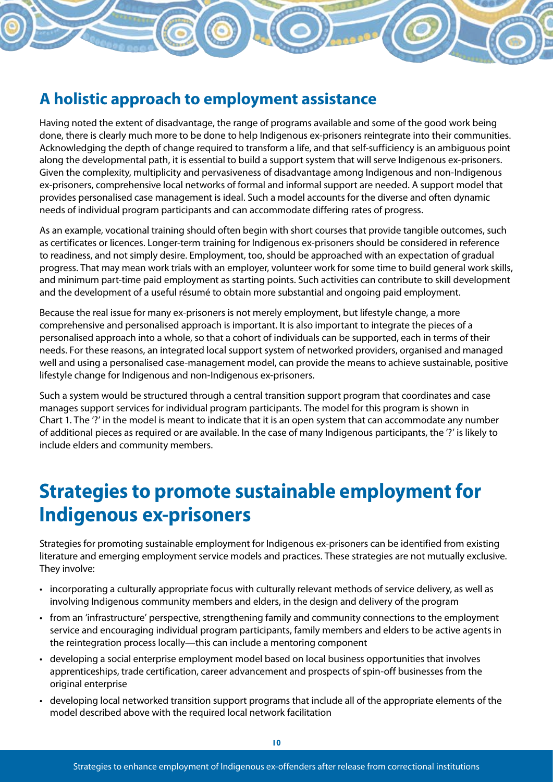## **A holistic approach to employment assistance**

Having noted the extent of disadvantage, the range of programs available and some of the good work being done, there is clearly much more to be done to help Indigenous ex-prisoners reintegrate into their communities. Acknowledging the depth of change required to transform a life, and that self-sufficiency is an ambiguous point along the developmental path, it is essential to build a support system that will serve Indigenous ex-prisoners. Given the complexity, multiplicity and pervasiveness of disadvantage among Indigenous and non-Indigenous ex-prisoners, comprehensive local networks of formal and informal support are needed. A support model that provides personalised case management is ideal. Such a model accounts for the diverse and often dynamic needs of individual program participants and can accommodate differing rates of progress.

As an example, vocational training should often begin with short courses that provide tangible outcomes, such as certificates or licences. Longer-term training for Indigenous ex-prisoners should be considered in reference to readiness, and not simply desire. Employment, too, should be approached with an expectation of gradual progress. That may mean work trials with an employer, volunteer work for some time to build general work skills, and minimum part-time paid employment as starting points. Such activities can contribute to skill development and the development of a useful résumé to obtain more substantial and ongoing paid employment.

Because the real issue for many ex-prisoners is not merely employment, but lifestyle change, a more comprehensive and personalised approach is important. It is also important to integrate the pieces of a personalised approach into a whole, so that a cohort of individuals can be supported, each in terms of their needs. For these reasons, an integrated local support system of networked providers, organised and managed well and using a personalised case-management model, can provide the means to achieve sustainable, positive lifestyle change for Indigenous and non-Indigenous ex-prisoners.

Such a system would be structured through a central transition support program that coordinates and case manages support services for individual program participants. The model for this program is shown in Chart 1. The '?' in the model is meant to indicate that it is an open system that can accommodate any number of additional pieces as required or are available. In the case of many Indigenous participants, the '?' is likely to include elders and community members.

# **Strategies to promote sustainable employment for Indigenous ex-prisoners**

Strategies for promoting sustainable employment for Indigenous ex-prisoners can be identified from existing literature and emerging employment service models and practices. These strategies are not mutually exclusive. They involve:

- • incorporating a culturally appropriate focus with culturally relevant methods of service delivery, as well as involving Indigenous community members and elders, in the design and delivery of the program
- • from an 'infrastructure' perspective, strengthening family and community connections to the employment service and encouraging individual program participants, family members and elders to be active agents in the reintegration process locally—this can include a mentoring component
- • developing a social enterprise employment model based on local business opportunities that involves apprenticeships, trade certification, career advancement and prospects of spin-off businesses from the original enterprise
- • developing local networked transition support programs that include all of the appropriate elements of the model described above with the required local network facilitation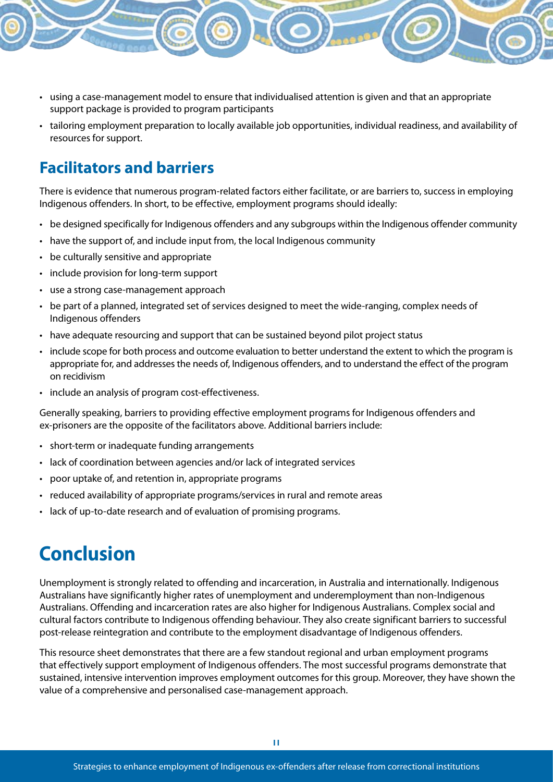- • using a case-management model to ensure that individualised attention is given and that an appropriate support package is provided to program participants
- • tailoring employment preparation to locally available job opportunities, individual readiness, and availability of resources for support.

## **Facilitators and barriers**

There is evidence that numerous program-related factors either facilitate, or are barriers to, success in employing Indigenous offenders. In short, to be effective, employment programs should ideally:

- • be designed specifically for Indigenous offenders and any subgroups within the Indigenous offender community
- • have the support of, and include input from, the local Indigenous community
- be culturally sensitive and appropriate
- include provision for long-term support
- • use a strong case-management approach
- • be part of a planned, integrated set of services designed to meet the wide-ranging, complex needs of Indigenous offenders
- have adequate resourcing and support that can be sustained beyond pilot project status
- include scope for both process and outcome evaluation to better understand the extent to which the program is appropriate for, and addresses the needs of, Indigenous offenders, and to understand the effect of the program on recidivism
- • include an analysis of program cost-effectiveness.

Generally speaking, barriers to providing effective employment programs for Indigenous offenders and ex-prisoners are the opposite of the facilitators above. Additional barriers include:

- short-term or inadequate funding arrangements
- lack of coordination between agencies and/or lack of integrated services
- poor uptake of, and retention in, appropriate programs
- reduced availability of appropriate programs/services in rural and remote areas
- lack of up-to-date research and of evaluation of promising programs.

# **Conclusion**

Unemployment is strongly related to offending and incarceration, in Australia and internationally. Indigenous Australians have significantly higher rates of unemployment and underemployment than non-Indigenous Australians. Offending and incarceration rates are also higher for Indigenous Australians. Complex social and cultural factors contribute to Indigenous offending behaviour. They also create significant barriers to successful post-release reintegration and contribute to the employment disadvantage of Indigenous offenders.

This resource sheet demonstrates that there are a few standout regional and urban employment programs that effectively support employment of Indigenous offenders. The most successful programs demonstrate that sustained, intensive intervention improves employment outcomes for this group. Moreover, they have shown the value of a comprehensive and personalised case-management approach.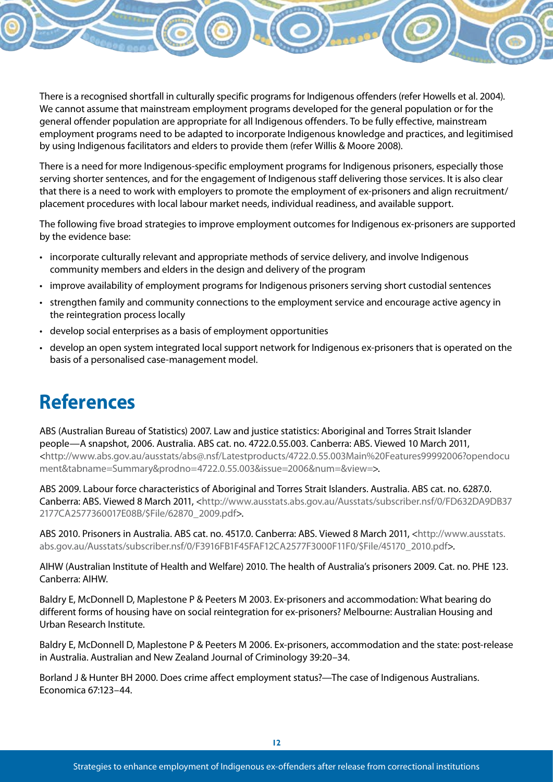There is a recognised shortfall in culturally specific programs for Indigenous offenders (refer Howells et al. 2004). We cannot assume that mainstream employment programs developed for the general population or for the general offender population are appropriate for all Indigenous offenders. To be fully effective, mainstream employment programs need to be adapted to incorporate Indigenous knowledge and practices, and legitimised by using Indigenous facilitators and elders to provide them (refer Willis & Moore 2008).

There is a need for more Indigenous-specific employment programs for Indigenous prisoners, especially those serving shorter sentences, and for the engagement of Indigenous staff delivering those services. It is also clear that there is a need to work with employers to promote the employment of ex-prisoners and align recruitment/ placement procedures with local labour market needs, individual readiness, and available support.

The following five broad strategies to improve employment outcomes for Indigenous ex-prisoners are supported by the evidence base:

- • incorporate culturally relevant and appropriate methods of service delivery, and involve Indigenous community members and elders in the design and delivery of the program
- improve availability of employment programs for Indigenous prisoners serving short custodial sentences
- • strengthen family and community connections to the employment service and encourage active agency in the reintegration process locally
- develop social enterprises as a basis of employment opportunities
- • develop an open system integrated local support network for Indigenous ex-prisoners that is operated on the basis of a personalised case-management model.

# **References**

ABS (Australian Bureau of Statistics) 2007. Law and justice statistics: Aboriginal and Torres Strait Islander people—A snapshot, 2006. Australia. ABS cat. no. 4722.0.55.003. Canberra: ABS. Viewed 10 March 2011, <http://www.abs.gov.au/ausstats/abs@.nsf/Latestproducts/4722.0.55.003Main%20Features99992006?opendocu ment&tabname=Summary&prodno=4722.0.55.003&issue=2006&num=&view=>.

ABS 2009. Labour force characteristics of Aboriginal and Torres Strait Islanders. Australia. ABS cat. no. 6287.0. Canberra: ABS. Viewed 8 March 2011, <http://www.ausstats.abs.gov.au/Ausstats/subscriber.nsf/0/FD632DA9DB37 2177CA2577360017E08B/\$File/62870\_2009.pdf>.

ABS 2010. Prisoners in Australia. ABS cat. no. 4517.0. Canberra: ABS. Viewed 8 March 2011, <http://www.ausstats. abs.gov.au/Ausstats/subscriber.nsf/0/F3916FB1F45FAF12CA2577F3000F11F0/\$File/45170\_2010.pdf>.

AIHW (Australian Institute of Health and Welfare) 2010. The health of Australia's prisoners 2009. Cat. no. PHE 123. Canberra: AIHW.

Baldry E, McDonnell D, Maplestone P & Peeters M 2003. Ex-prisoners and accommodation: What bearing do different forms of housing have on social reintegration for ex-prisoners? Melbourne: Australian Housing and Urban Research Institute.

Baldry E, McDonnell D, Maplestone P & Peeters M 2006. Ex-prisoners, accommodation and the state: post-release in Australia. Australian and New Zealand Journal of Criminology 39:20–34.

Borland J & Hunter BH 2000. Does crime affect employment status?—The case of Indigenous Australians. Economica 67:123–44.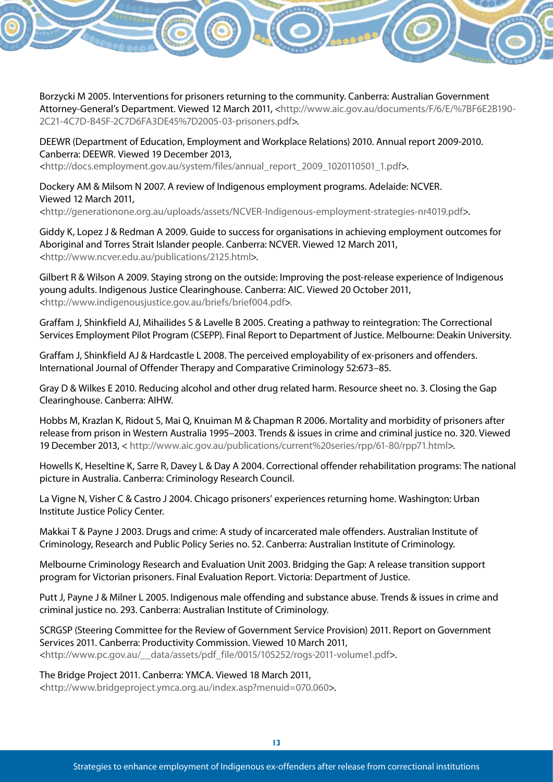Borzycki M 2005. Interventions for prisoners returning to the community. Canberra: Australian Government Attorney-General's Department. Viewed 12 March 2011, <http://www.aic.gov.au/documents/F/6/E/%7BF6E2B190- 2C21-4C7D-B45F-2C7D6FA3DE45%7D2005-03-prisoners.pdf>.

DEEWR (Department of Education, Employment and Workplace Relations) 2010. Annual report 2009-2010. Canberra: DEEWR. Viewed 19 December 2013, <http://docs.employment.gov.au/system/files/annual\_report\_2009\_1020110501\_1.pdf>.

Dockery AM & Milsom N 2007. A review of Indigenous employment programs. Adelaide: NCVER. Viewed 12 March 2011,

<http://generationone.org.au/uploads/assets/NCVER-Indigenous-employment-strategies-nr4019.pdf>.

Giddy K, Lopez J & Redman A 2009. Guide to success for organisations in achieving employment outcomes for Aboriginal and Torres Strait Islander people. Canberra: NCVER. Viewed 12 March 2011, <http://www.ncver.edu.au/publications/2125.html>.

Gilbert R & Wilson A 2009. Staying strong on the outside: Improving the post-release experience of Indigenous young adults. Indigenous Justice Clearinghouse. Canberra: AIC. Viewed 20 October 2011, <http://www.indigenousjustice.gov.au/briefs/brief004.pdf>.

Graffam J, Shinkfield AJ, Mihailides S & Lavelle B 2005. Creating a pathway to reintegration: The Correctional Services Employment Pilot Program (CSEPP). Final Report to Department of Justice. Melbourne: Deakin University.

Graffam J, Shinkfield AJ & Hardcastle L 2008. The perceived employability of ex-prisoners and offenders. International Journal of Offender Therapy and Comparative Criminology 52:673–85.

Gray D & Wilkes E 2010. Reducing alcohol and other drug related harm. Resource sheet no. 3. Closing the Gap Clearinghouse. Canberra: AIHW.

Hobbs M, Krazlan K, Ridout S, Mai Q, Knuiman M & Chapman R 2006. Mortality and morbidity of prisoners after release from prison in Western Australia 1995–2003. Trends & issues in crime and criminal justice no. 320. Viewed 19 December 2013, < http://www.aic.gov.au/publications/current%20series/rpp/61-80/rpp71.html>.

Howells K, Heseltine K, Sarre R, Davey L & Day A 2004. Correctional offender rehabilitation programs: The national picture in Australia. Canberra: Criminology Research Council.

La Vigne N, Visher C & Castro J 2004. Chicago prisoners' experiences returning home. Washington: Urban Institute Justice Policy Center.

Makkai T & Payne J 2003. Drugs and crime: A study of incarcerated male offenders. Australian Institute of Criminology, Research and Public Policy Series no. 52. Canberra: Australian Institute of Criminology.

Melbourne Criminology Research and Evaluation Unit 2003. Bridging the Gap: A release transition support program for Victorian prisoners. Final Evaluation Report. Victoria: Department of Justice.

Putt J, Payne J & Milner L 2005. Indigenous male offending and substance abuse. Trends & issues in crime and criminal justice no. 293. Canberra: Australian Institute of Criminology.

SCRGSP (Steering Committee for the Review of Government Service Provision) 2011. Report on Government Services 2011. Canberra: Productivity Commission. Viewed 10 March 2011, <http://www.pc.gov.au/\_\_data/assets/pdf\_file/0015/105252/rogs-2011-volume1.pdf>.

The Bridge Project 2011. Canberra: YMCA. Viewed 18 March 2011, <http://www.bridgeproject.ymca.org.au/index.asp?menuid=070.060>.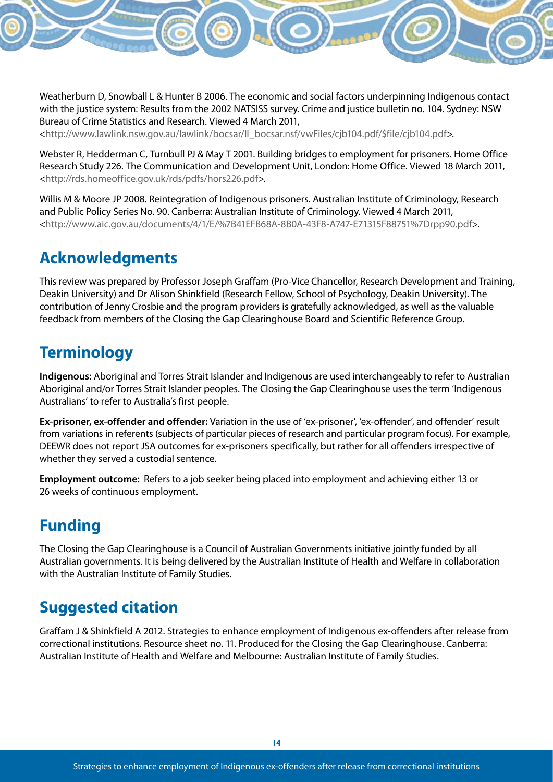Weatherburn D, Snowball L & Hunter B 2006. The economic and social factors underpinning Indigenous contact with the justice system: Results from the 2002 NATSISS survey. Crime and justice bulletin no. 104. Sydney: NSW Bureau of Crime Statistics and Research. Viewed 4 March 2011,

<http://www.lawlink.nsw.gov.au/lawlink/bocsar/ll\_bocsar.nsf/vwFiles/cjb104.pdf/\$file/cjb104.pdf>.

Webster R, Hedderman C, Turnbull PJ & May T 2001. Building bridges to employment for prisoners. Home Office Research Study 226. The Communication and Development Unit, London: Home Office. Viewed 18 March 2011, <http://rds.homeoffice.gov.uk/rds/pdfs/hors226.pdf>.

Willis M & Moore JP 2008. Reintegration of Indigenous prisoners. Australian Institute of Criminology, Research and Public Policy Series No. 90. Canberra: Australian Institute of Criminology. Viewed 4 March 2011, <http://www.aic.gov.au/documents/4/1/E/%7B41EFB68A-8B0A-43F8-A747-E71315F88751%7Drpp90.pdf>.

## **Acknowledgments**

This review was prepared by Professor Joseph Graffam (Pro-Vice Chancellor, Research Development and Training, Deakin University) and Dr Alison Shinkfield (Research Fellow, School of Psychology, Deakin University). The contribution of Jenny Crosbie and the program providers is gratefully acknowledged, as well as the valuable feedback from members of the Closing the Gap Clearinghouse Board and Scientific Reference Group.

## **Terminology**

**Indigenous:** Aboriginal and Torres Strait Islander and Indigenous are used interchangeably to refer to Australian Aboriginal and/or Torres Strait Islander peoples. The Closing the Gap Clearinghouse uses the term 'Indigenous Australians' to refer to Australia's first people.

**Ex-prisoner, ex-offender and offender:** Variation in the use of 'ex-prisoner', 'ex-offender', and offender' result from variations in referents (subjects of particular pieces of research and particular program focus). For example, DEEWR does not report JSA outcomes for ex-prisoners specifically, but rather for all offenders irrespective of whether they served a custodial sentence.

**Employment outcome:** Refers to a job seeker being placed into employment and achieving either 13 or 26 weeks of continuous employment.

## **Funding**

The Closing the Gap Clearinghouse is a Council of Australian Governments initiative jointly funded by all Australian governments. It is being delivered by the Australian Institute of Health and Welfare in collaboration with the Australian Institute of Family Studies.

## **Suggested citation**

Graffam J & Shinkfield A 2012. Strategies to enhance employment of Indigenous ex-offenders after release from correctional institutions. Resource sheet no. 11. Produced for the Closing the Gap Clearinghouse. Canberra: Australian Institute of Health and Welfare and Melbourne: Australian Institute of Family Studies.